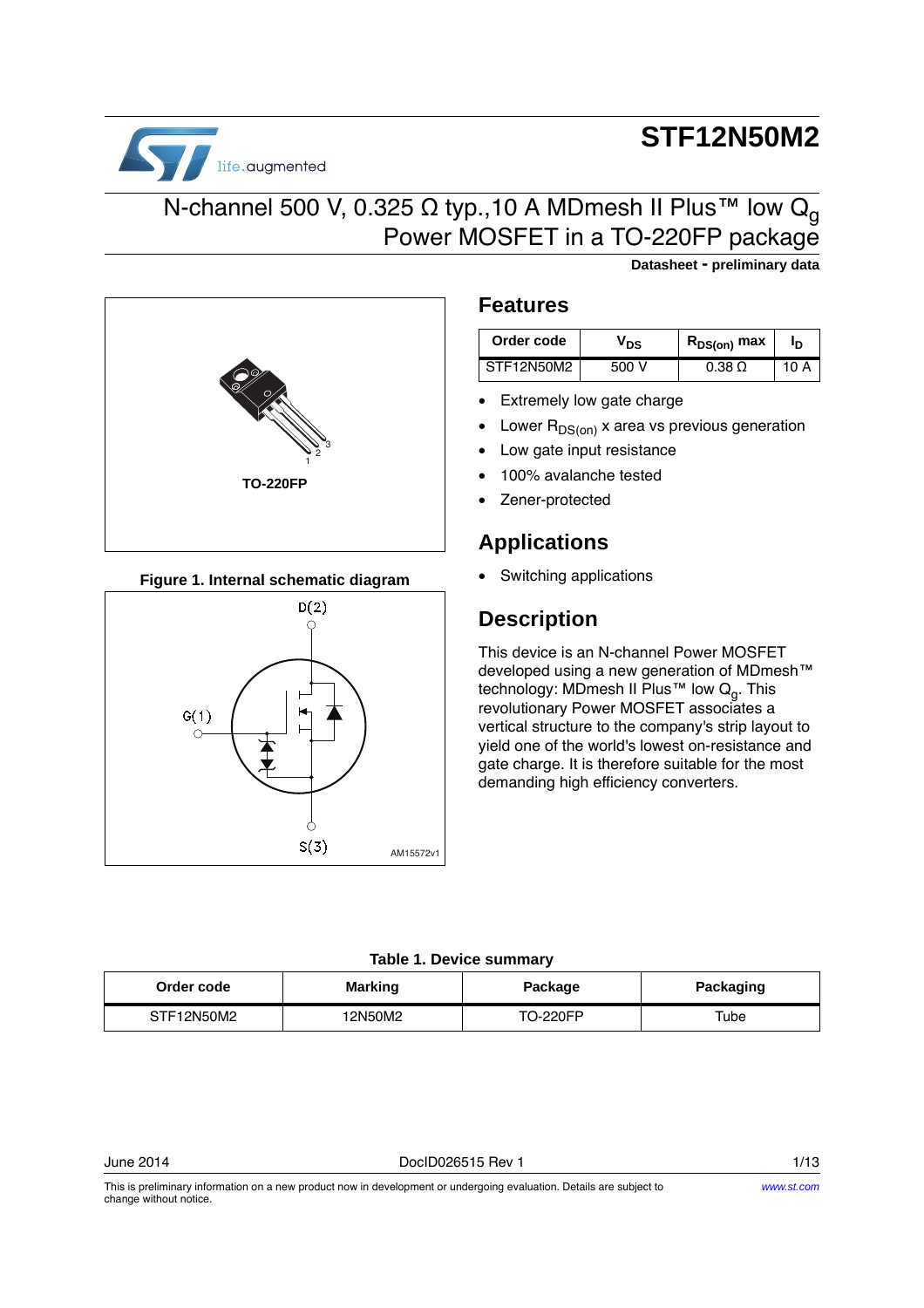# **STF12N50M2**

**Datasheet - preliminary data**



### N-channel 500 V, 0.325 Ω typ., 10 A MDmesh II Plus™ low Q<sub>q</sub> Power MOSFET in a TO-220FP package



**Figure 1. Internal schematic diagram**



### **Features**

| Order code | 'DS   | R <sub>DS(on)</sub> max |  |
|------------|-------|-------------------------|--|
| STF12N50M2 | 500 V | <u>በ 38 በ</u>           |  |

- Extremely low gate charge
- Lower  $R_{DS(on)}$  x area vs previous generation
- Low gate input resistance
- 100% avalanche tested
- Zener-protected

### **Applications**

• Switching applications

### **Description**

This device is an N-channel Power MOSFET developed using a new generation of MDmesh™ technology: MDmesh II Plus™ low  $Q_q$ . This revolutionary Power MOSFET associates a vertical structure to the company's strip layout to yield one of the world's lowest on-resistance and gate charge. It is therefore suitable for the most demanding high efficiency converters.

#### . **Table 1. Device summary**

| Order code | <b>Marking</b> | Package  | Packaging |
|------------|----------------|----------|-----------|
| STF12N50M2 | 12N50M2        | TO-220FP | Tube      |

This is preliminary information on a new product now in development or undergoing evaluation. Details are subject to change without notice.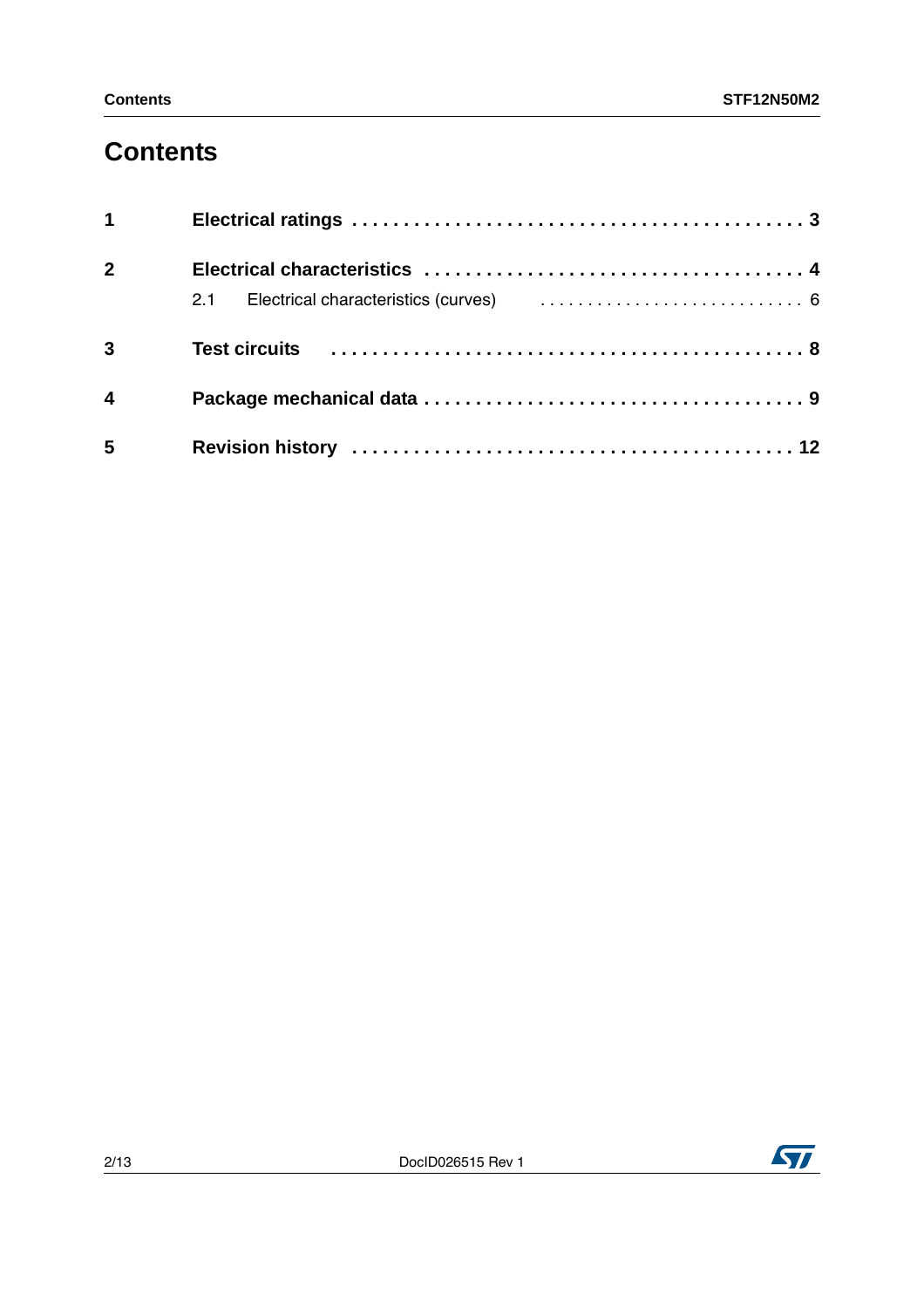## **Contents**

| $1 \quad \blacksquare$  |  |
|-------------------------|--|
| 2 <sup>1</sup>          |  |
|                         |  |
| $\overline{3}$          |  |
| $\overline{\mathbf{4}}$ |  |
| $5\phantom{.0}$         |  |

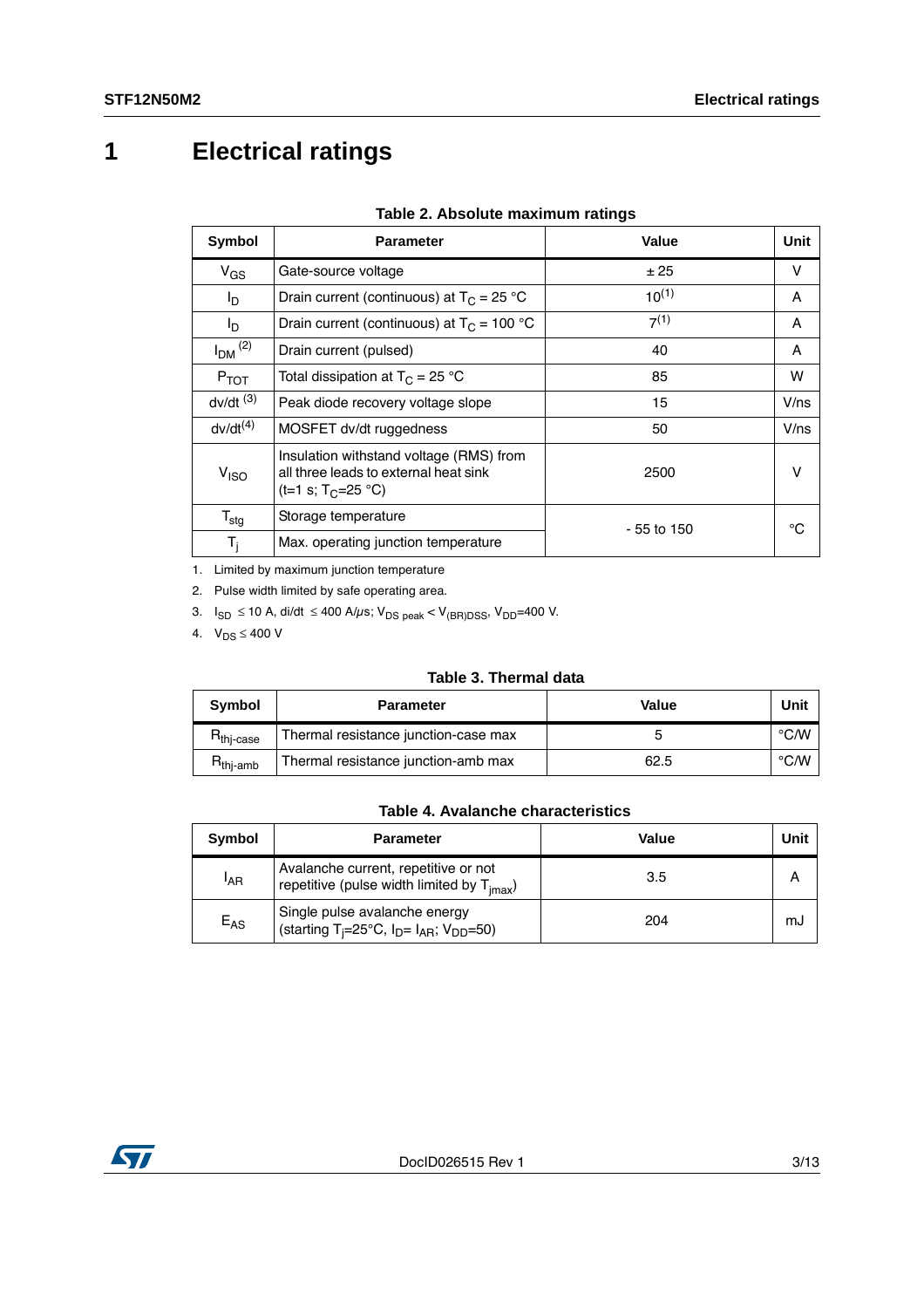## <span id="page-2-0"></span>**1 Electrical ratings**

| Symbol                              | <b>Parameter</b>                                                                                                   | Value       | Unit         |
|-------------------------------------|--------------------------------------------------------------------------------------------------------------------|-------------|--------------|
| $V_{GS}$                            | Gate-source voltage                                                                                                | ± 25        | v            |
| l <sub>D</sub>                      | Drain current (continuous) at $T_c = 25 °C$                                                                        | $10^{(1)}$  | A            |
| l <sub>D</sub>                      | Drain current (continuous) at $T_c = 100 °C$                                                                       | $7^{(1)}$   | A            |
| $I_{DM}$ $^{(2)}$                   | Drain current (pulsed)                                                                                             | 40          | A            |
| $P_{TOT}$                           | Total dissipation at $T_C = 25 °C$                                                                                 | 85          | w            |
| $dv/dt$ <sup><math>(3)</math></sup> | Peak diode recovery voltage slope                                                                                  | 15          | $V$ /ns      |
| $dv/dt^{(4)}$                       | MOSFET dv/dt ruggedness                                                                                            | 50          | $V$ /ns      |
| V <sub>ISO</sub>                    | Insulation withstand voltage (RMS) from<br>all three leads to external heat sink<br>(t=1 s; T <sub>C</sub> =25 °C) | 2500        | v            |
| $T_{\text{stg}}$                    | Storage temperature                                                                                                | - 55 to 150 | $^{\circ}$ C |
| $T_i$                               | Max. operating junction temperature                                                                                |             |              |

#### **Table 2. Absolute maximum ratings**

1. Limited by maximum junction temperature

2. Pulse width limited by safe operating area.

3.  $I_{SD} \le 10$  A, di/dt  $\le 400$  A/ $\mu$ s; V<sub>DS peak</sub> < V<sub>(BR)DSS</sub>, V<sub>DD</sub>=400 V.

4.  $V_{DS} \leq 400 V$ 

### **Table 3. Thermal data**

| Symbol                  | <b>Parameter</b>                     | Value | Unit |
|-------------------------|--------------------------------------|-------|------|
| $R_{\mathsf{thj-case}}$ | Thermal resistance junction-case max |       | °C∕W |
| $R_{\text{thi-amb}}$    | Thermal resistance junction-amb max  | 62.5  | °C∕W |

#### **Table 4. Avalanche characteristics**

| Symbol          | <b>Parameter</b>                                                                                | Value | Unit |
|-----------------|-------------------------------------------------------------------------------------------------|-------|------|
| <sup>I</sup> AR | Avalanche current, repetitive or not<br>repetitive (pulse width limited by $T_{\text{imax}}$ )  | 3.5   |      |
| $E_{AS}$        | Single pulse avalanche energy<br>(starting T <sub>i</sub> =25°C, $I_D = I_{AR}$ ; $V_{DD}$ =50) | 204   | mJ   |

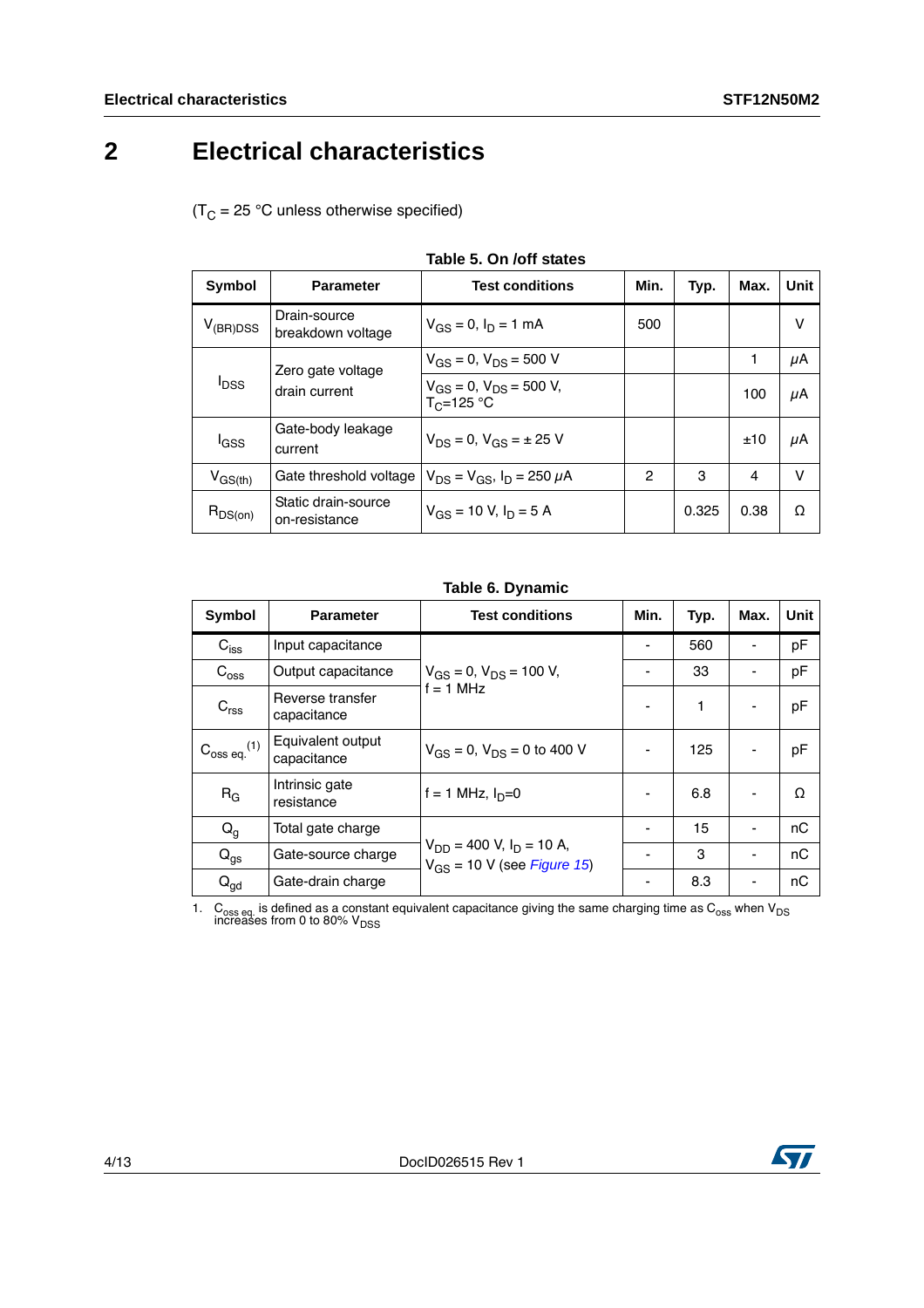## <span id="page-3-0"></span>**2 Electrical characteristics**

 $(T_C = 25 °C$  unless otherwise specified)

| $1805$ J. UII JUII SLALES |                                      |                                                    |              |       |      |             |  |
|---------------------------|--------------------------------------|----------------------------------------------------|--------------|-------|------|-------------|--|
| Symbol                    | <b>Parameter</b>                     | <b>Test conditions</b>                             | Min.         | Typ.  | Max. | <b>Unit</b> |  |
| $V_{(BR)DSS}$             | Drain-source<br>breakdown voltage    | $V_{GS} = 0$ , $I_D = 1$ mA                        | 500          |       |      | v           |  |
| $I_{DSS}$                 | Zero gate voltage                    | $V_{GS} = 0$ , $V_{DS} = 500$ V                    |              |       | 1    | μA          |  |
|                           | drain current                        | $V_{GS} = 0$ , $V_{DS} = 500$ V,<br>$T_C = 125 °C$ |              |       | 100  | μA          |  |
| l <sub>GSS</sub>          | Gate-body leakage<br>current         | $V_{DS} = 0$ , $V_{GS} = \pm 25$ V                 |              |       | ±10  | μA          |  |
| $V_{GS(th)}$              | Gate threshold voltage               | $V_{DS} = V_{GS}$ , $I_D = 250 \mu A$              | $\mathbf{2}$ | 3     | 4    | v           |  |
| $R_{DS(on)}$              | Static drain-source<br>on-resistance | $V_{GS}$ = 10 V, $I_D$ = 5 A                       |              | 0.325 | 0.38 | Ω           |  |

#### **Table 5. On /off states**

#### **Table 6. Dynamic**

| Symbol                     | <b>Parameter</b>                 | <b>Test conditions</b>                                             | Min.                         | Typ. | Max. | <b>Unit</b> |
|----------------------------|----------------------------------|--------------------------------------------------------------------|------------------------------|------|------|-------------|
| $C_{\text{iss}}$           | Input capacitance                |                                                                    |                              | 560  |      | pF          |
| $C_{\rm oss}$              | Output capacitance               | $V_{GS} = 0$ , $V_{DS} = 100$ V,                                   | $\qquad \qquad \blacksquare$ | 33   |      | pF          |
| C <sub>rss</sub>           | Reverse transfer<br>capacitance  | $f = 1$ MHz                                                        |                              | 1    |      | pF          |
| $C_{\rm 0ss\,eq.}{}^{(1)}$ | Equivalent output<br>capacitance | $V_{GS} = 0$ , $V_{DS} = 0$ to 400 V                               | ٠                            | 125  |      | pF          |
| $R_G$                      | Intrinsic gate<br>resistance     | f = 1 MHz, $I_D=0$                                                 |                              | 6.8  |      | Ω           |
| $Q_g$                      | Total gate charge                |                                                                    |                              | 15   |      | nC          |
| $Q_{\rm{gs}}$              | Gate-source charge               | $V_{DD}$ = 400 V, $I_D$ = 10 A,<br>$V_{GS}$ = 10 V (see Figure 15) |                              | 3    |      | nC          |
| $Q_{\text{gd}}$            | Gate-drain charge                |                                                                    |                              | 8.3  |      | nC          |

1.  $\rm{C_{oss}}$  eq. is defined as a constant equivalent capacitance giving the same charging time as  $\rm{C_{oss}}$  when  $\rm{V_{DS}}$  increases from 0 to 80%  $\rm{V_{DSS}}$ 

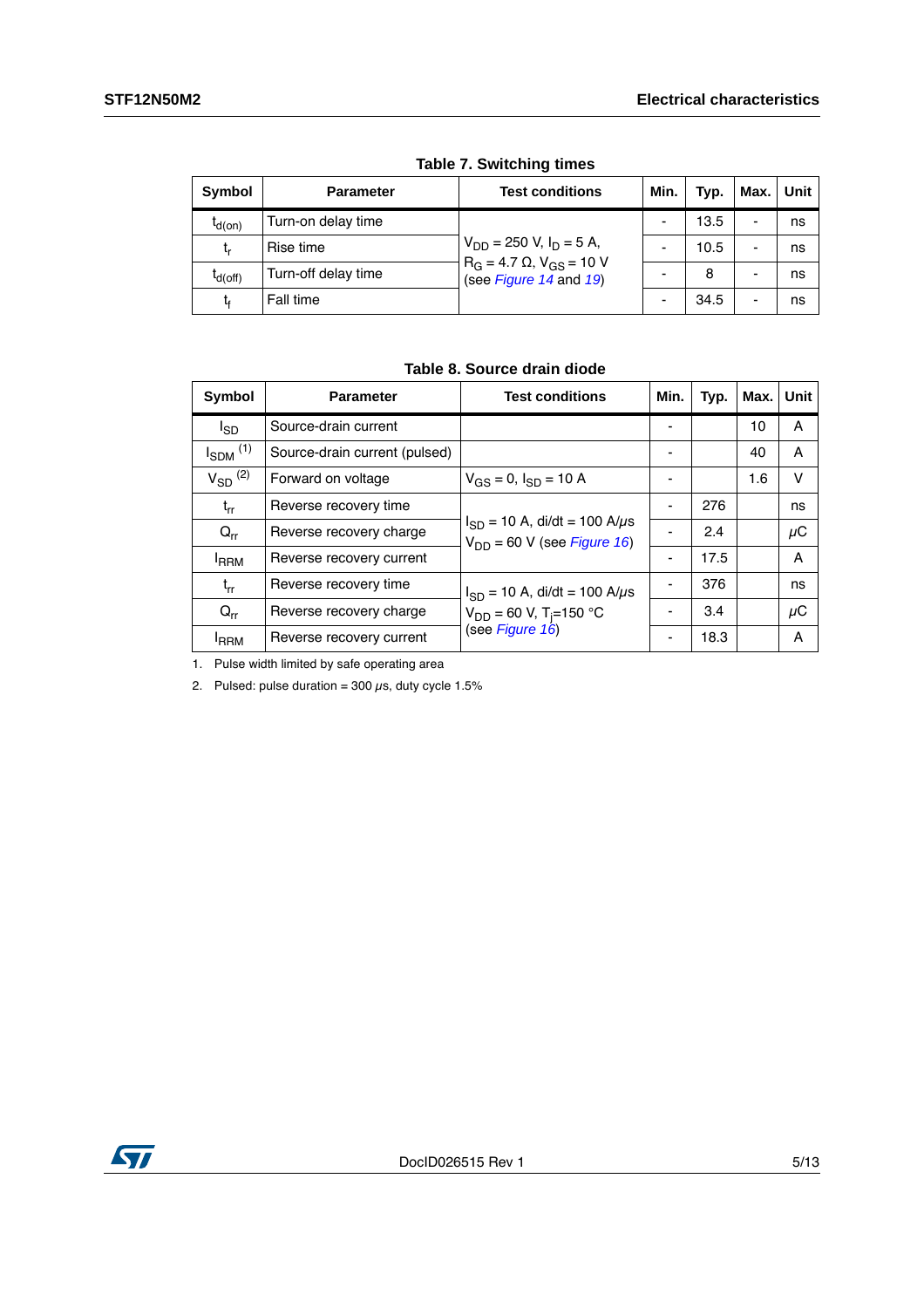| Symbol       | <b>Parameter</b>    | <b>Test conditions</b>                                         | Min.                     | Typ. | Max. | Unit |  |  |  |
|--------------|---------------------|----------------------------------------------------------------|--------------------------|------|------|------|--|--|--|
| $I_{d(on)}$  | Turn-on delay time  |                                                                |                          | 13.5 | -    | ns   |  |  |  |
| t,           | Rise time           | $V_{DD}$ = 250 V, I <sub>D</sub> = 5 A,                        |                          | 10.5 | -    | ns   |  |  |  |
| $I_{d(Off)}$ | Turn-off delay time | $R_G = 4.7 \Omega$ , $V_{GS} = 10 V$<br>(see Figure 14 and 19) |                          | 8    | -    | ns   |  |  |  |
| t,           | Fall time           |                                                                | $\overline{\phantom{0}}$ | 34.5 | -    | ns   |  |  |  |

**Table 7. Switching times**

|  |  | Table 8. Source drain diode |  |  |
|--|--|-----------------------------|--|--|
|--|--|-----------------------------|--|--|

| Symbol                   | <b>Parameter</b>              | <b>Test conditions</b>                                                     | Min. | Typ. | Max. | Unit |
|--------------------------|-------------------------------|----------------------------------------------------------------------------|------|------|------|------|
| <sup>I</sup> SD          | Source-drain current          |                                                                            |      |      | 10   | A    |
| $I_{SDM}$ <sup>(1)</sup> | Source-drain current (pulsed) |                                                                            |      |      | 40   | A    |
| $V_{SD}$ <sup>(2)</sup>  | Forward on voltage            | $V_{GS} = 0$ , $I_{SD} = 10$ A                                             |      |      | 1.6  | v    |
| $t_{rr}$                 | Reverse recovery time         |                                                                            |      | 276  |      | ns   |
| $Q_{rr}$                 | Reverse recovery charge       | $I_{SD}$ = 10 A, di/dt = 100 A/ $\mu$ s<br>$V_{DD}$ = 60 V (see Figure 16) |      | 2.4  |      | μC   |
| <b>IRRM</b>              | Reverse recovery current      |                                                                            |      | 17.5 |      | A    |
| $t_{rr}$                 | Reverse recovery time         | $I_{SD}$ = 10 A, di/dt = 100 A/ $\mu$ s                                    |      | 376  |      | ns   |
| $Q_{rr}$                 | Reverse recovery charge       | $V_{DD}$ = 60 V, T <sub>i</sub> =150 °C                                    |      | 3.4  |      | μC   |
| <sup>I</sup> RRM         | Reverse recovery current      | (see Figure 16)                                                            |      | 18.3 |      | A    |

1. Pulse width limited by safe operating area

2. Pulsed: pulse duration =  $300 \,\mu s$ , duty cycle 1.5%

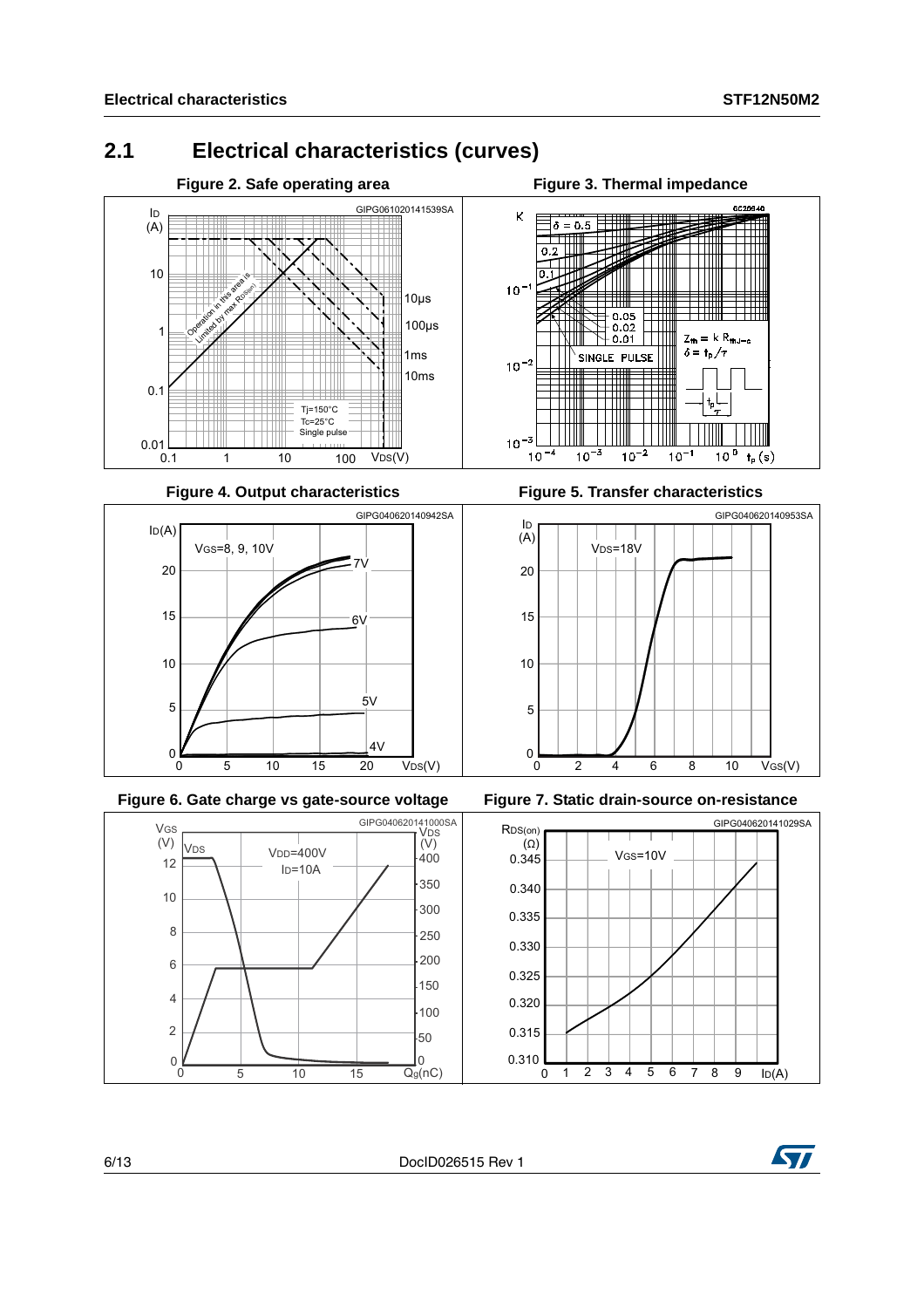### <span id="page-5-0"></span>**2.1 Electrical characteristics (curves)**









**Figure 4. Output characteristics Figure 5. Transfer characteristics** 







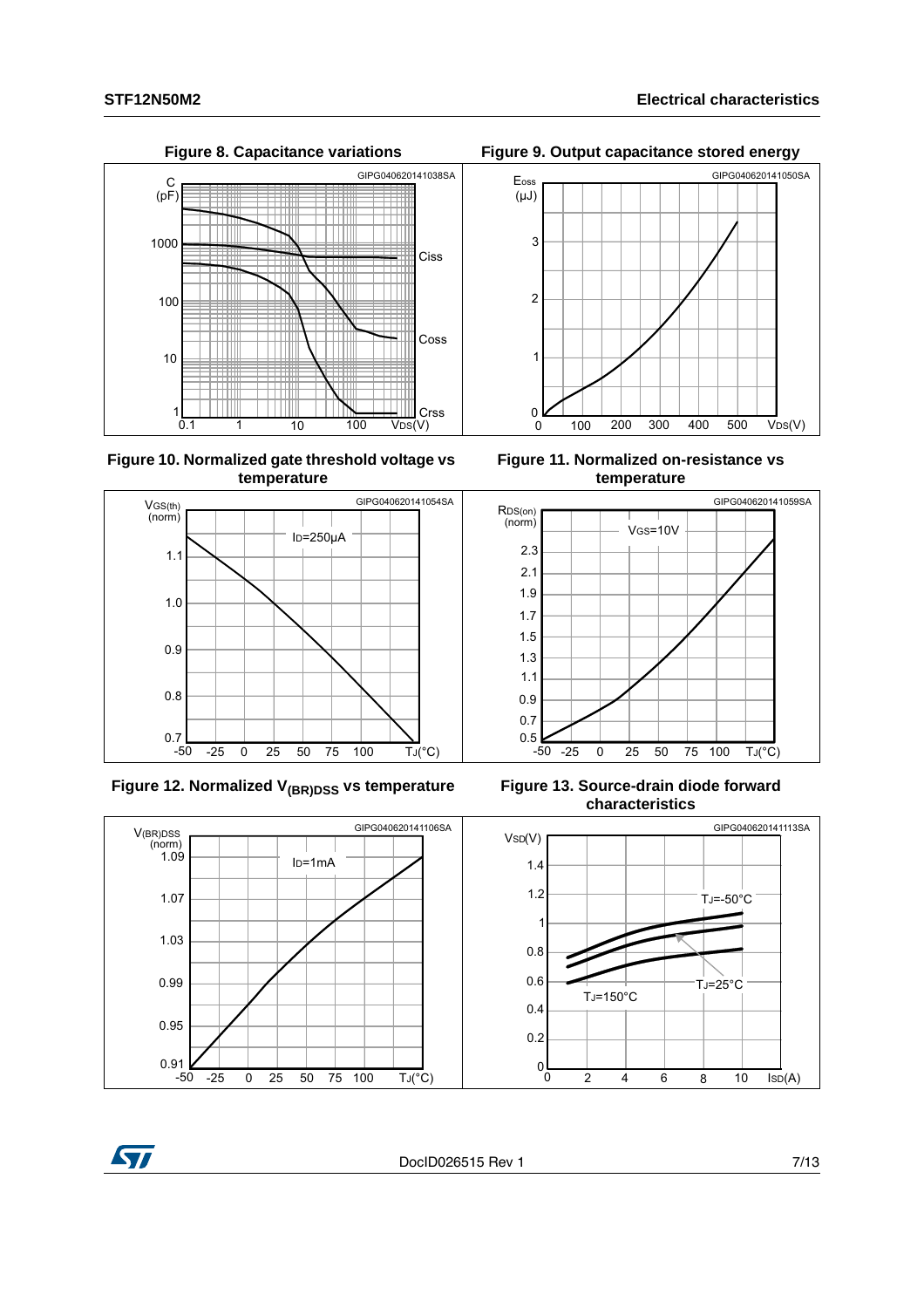$10$ 

 $\frac{1}{0.1}$ 



1 10 100 V<sub>DS</sub>(V)

 $100$ 

Crss

**Figure 10. Normalized gate threshold voltage vs temperature**



Figure 12. Normalized V<sub>(BR)DSS</sub> vs temperature Figure 13. Source-drain diode forward



**Figure 8. Capacitance variations Figure 9. Output capacitance stored energy**



**Figure 11. Normalized on-resistance vs temperature**



**characteristics**



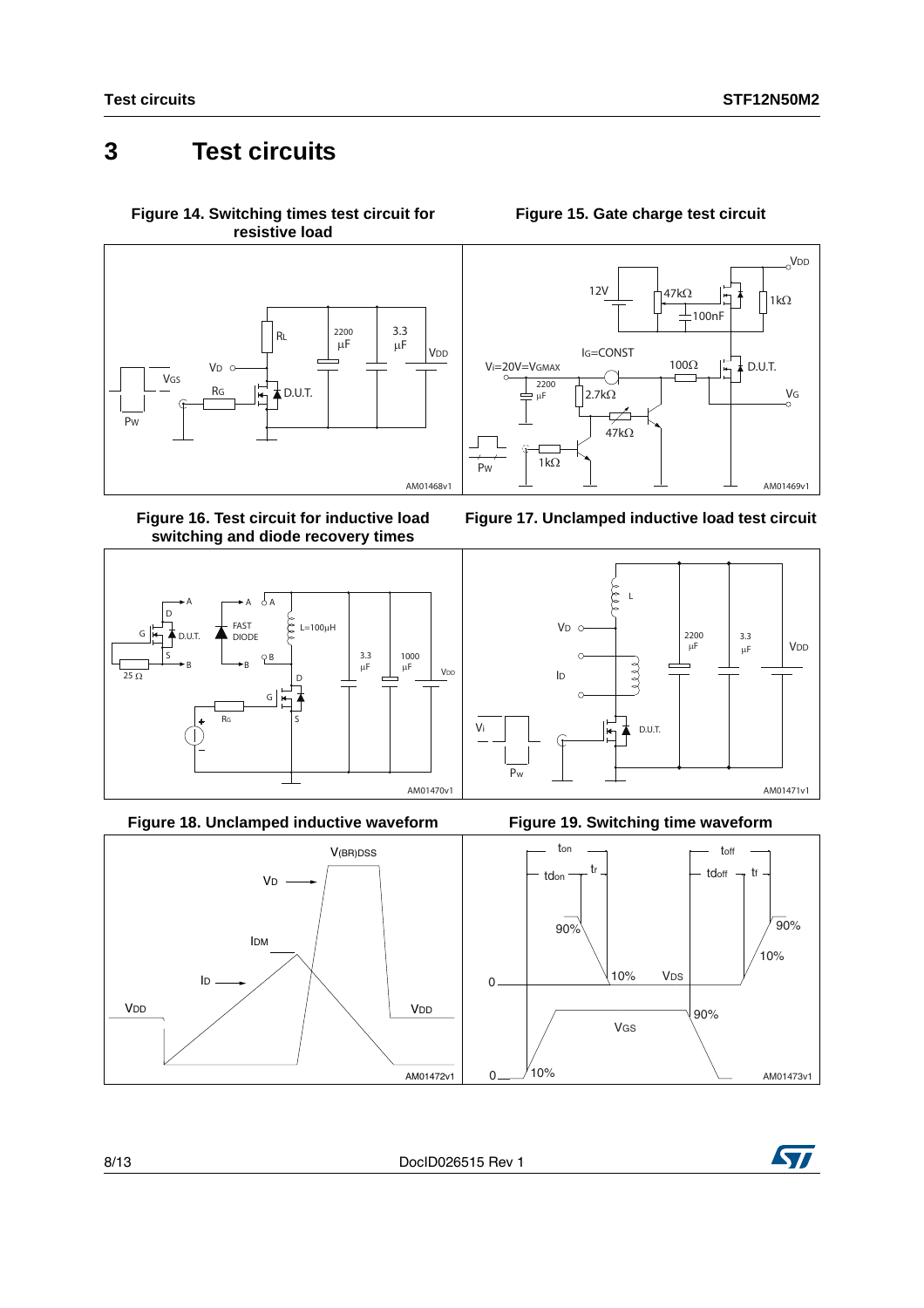### <span id="page-7-0"></span>**3 Test circuits**

<span id="page-7-2"></span>**Figure 14. Switching times test circuit for resistive load**



<span id="page-7-4"></span>**Figure 16. Test circuit for inductive load switching and diode recovery times**



**Figure 18. Unclamped inductive waveform Figure 19. Switching time waveform**



#### **Figure 15. Gate charge test circuit**

<span id="page-7-1"></span>







<span id="page-7-3"></span>

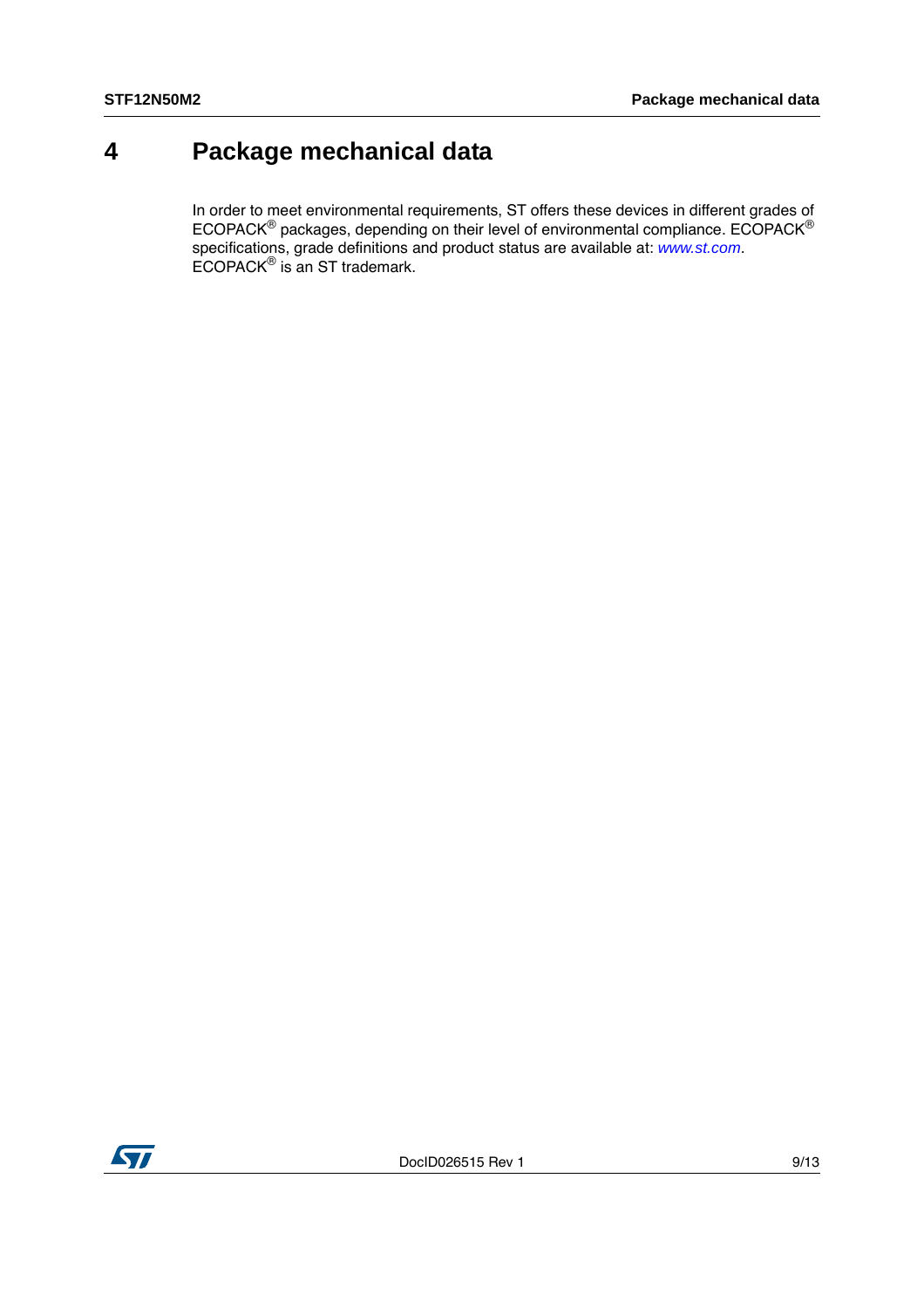### <span id="page-8-0"></span>**4 Package mechanical data**

In order to meet environmental requirements, ST offers these devices in different grades of ECOPACK® packages, depending on their level of environmental compliance. ECOPACK® specifications, grade definitions and product status are available at: *[www.st.com](http://www.st.com)*. ECOPACK® is an ST trademark.

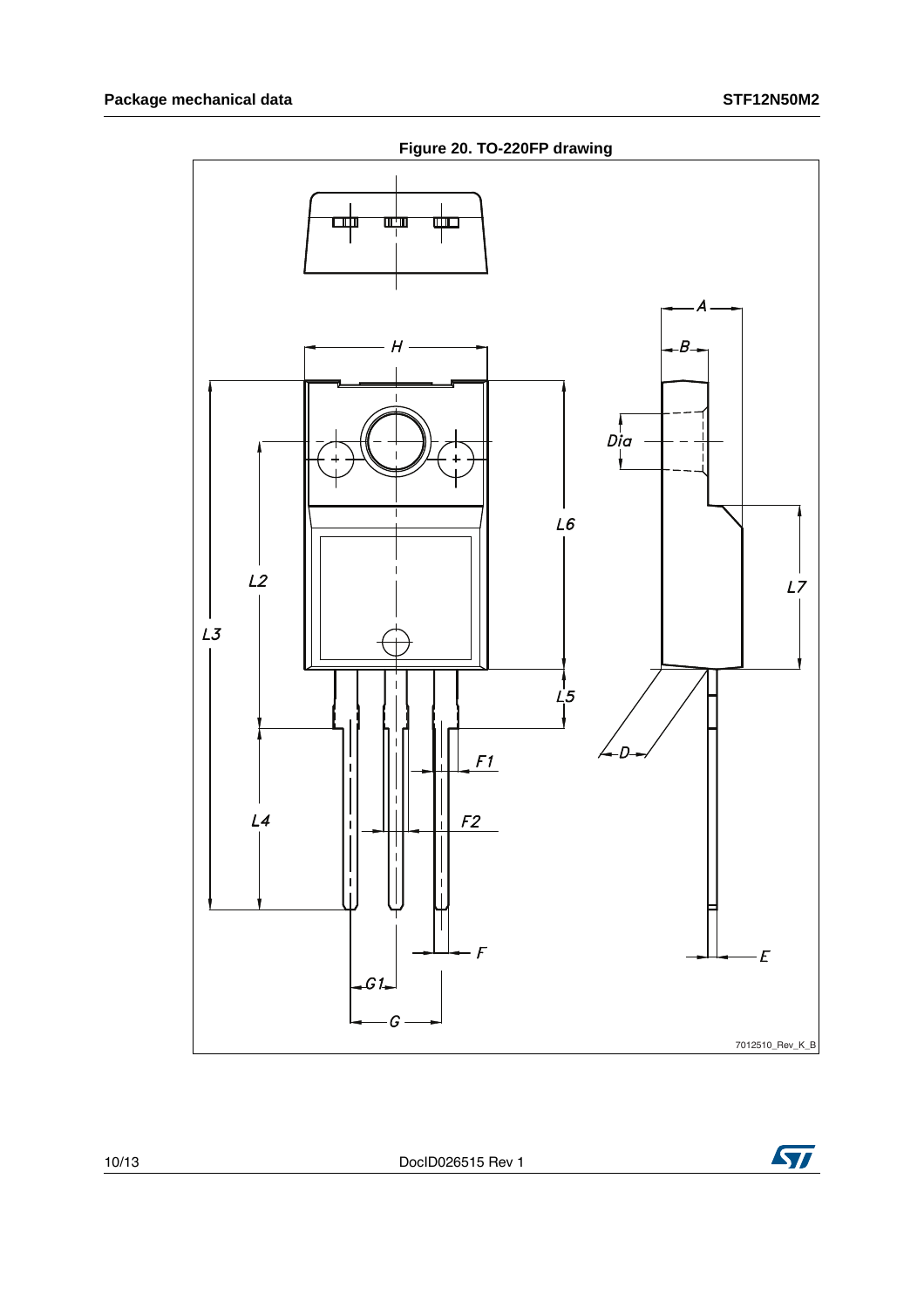

**ST** 

10/13 DocID026515 Rev 1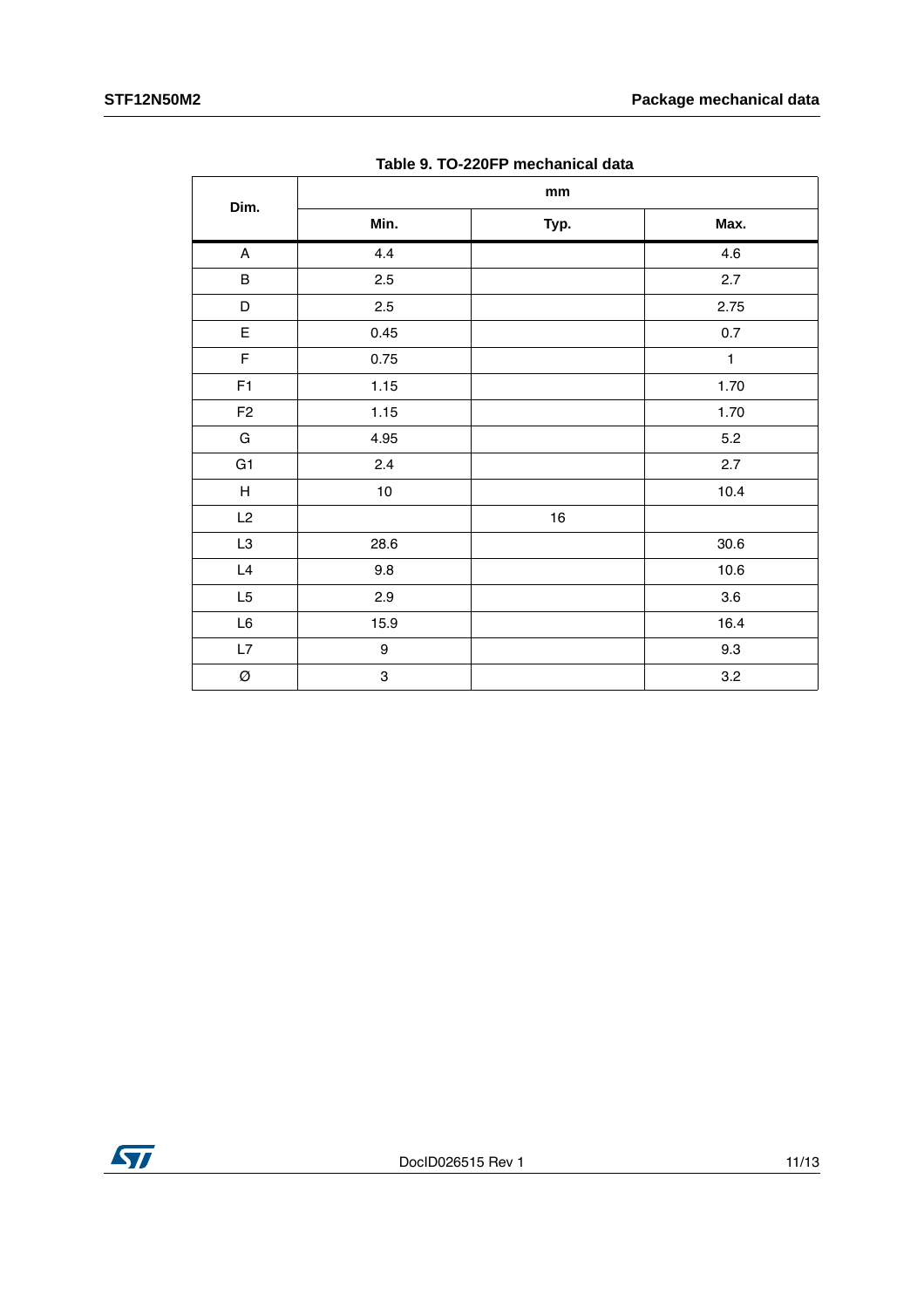| rapic 9. TO EEUT. McGhamodi data |                               |        |              |  |  |  |
|----------------------------------|-------------------------------|--------|--------------|--|--|--|
| Dim.                             | $\mathop{\text{mm}}\nolimits$ |        |              |  |  |  |
|                                  | Min.                          | Typ.   | Max.         |  |  |  |
| $\boldsymbol{\mathsf{A}}$        | 4.4                           |        | 4.6          |  |  |  |
| $\sf B$                          | 2.5                           |        | 2.7          |  |  |  |
| D                                | 2.5                           |        | 2.75         |  |  |  |
| E                                | 0.45                          |        | $0.7\,$      |  |  |  |
| $\mathsf F$                      | 0.75                          |        | $\mathbf{1}$ |  |  |  |
| F1                               | 1.15                          |        | 1.70         |  |  |  |
| F <sub>2</sub>                   | 1.15                          |        | 1.70         |  |  |  |
| ${\mathsf G}$                    | 4.95                          |        | $5.2\,$      |  |  |  |
| G1                               | 2.4                           |        | 2.7          |  |  |  |
| $\boldsymbol{\mathsf{H}}$        | $10\,$                        |        | 10.4         |  |  |  |
| L2                               |                               | $16\,$ |              |  |  |  |
| L3                               | 28.6                          |        | 30.6         |  |  |  |
| L4                               | 9.8                           |        | 10.6         |  |  |  |
| L <sub>5</sub>                   | 2.9                           |        | 3.6          |  |  |  |
| $\mathsf{L}6$                    | 15.9                          |        | 16.4         |  |  |  |
| L7                               | $\boldsymbol{9}$              |        | 9.3          |  |  |  |
| Ø                                | 3                             |        | 3.2          |  |  |  |

**Table 9. TO-220FP mechanical data**

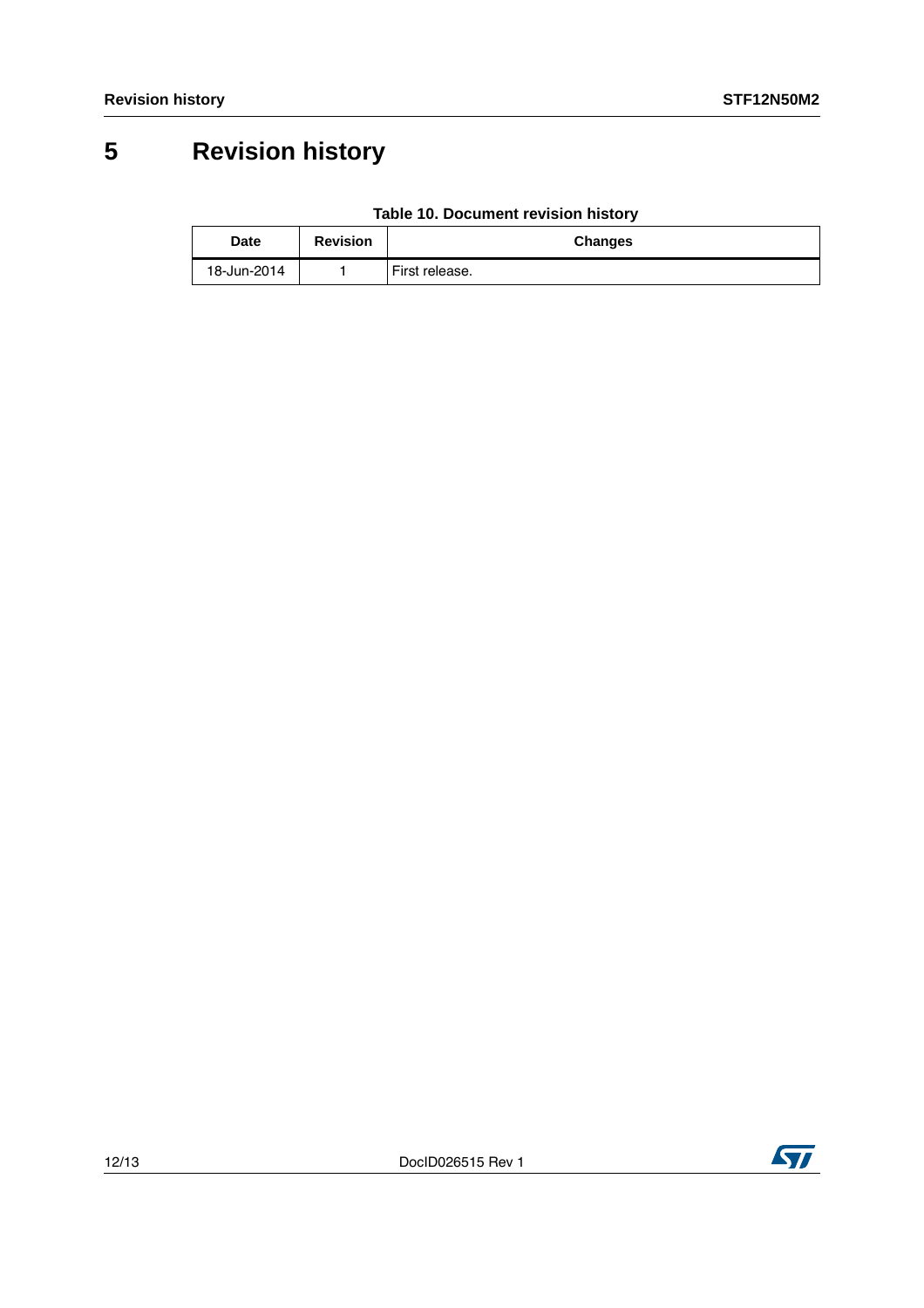## <span id="page-11-0"></span>**5 Revision history**

| Table 10. Document revision history |  |
|-------------------------------------|--|
|                                     |  |

| Date        | <b>Revision</b> | <b>Changes</b> |
|-------------|-----------------|----------------|
| 18-Jun-2014 |                 | First release. |